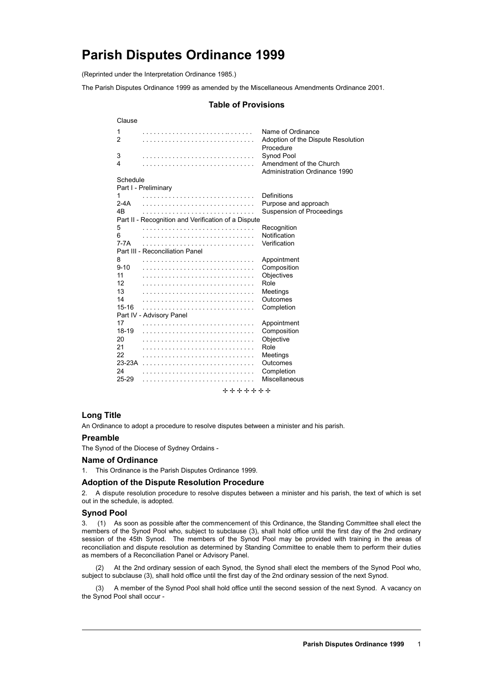# **Parish Disputes Ordinance 1999**

(Reprinted under the Interpretation Ordinance 1985.)

The Parish Disputes Ordinance 1999 as amended by the Miscellaneous Amendments Ordinance 2001.

# **Table of Provisions**

| Clause    |                                                     |                                                                      |
|-----------|-----------------------------------------------------|----------------------------------------------------------------------|
| 1<br>2    |                                                     | Name of Ordinance<br>Adoption of the Dispute Resolution<br>Procedure |
| 3         |                                                     | Synod Pool                                                           |
| 4         |                                                     | Amendment of the Church<br>Administration Ordinance 1990             |
| Schedule  |                                                     |                                                                      |
|           | Part I - Preliminary                                |                                                                      |
| 1         |                                                     | Definitions                                                          |
| 2-4A      |                                                     | Purpose and approach                                                 |
| 4B        |                                                     | Suspension of Proceedings                                            |
|           | Part II - Recognition and Verification of a Dispute |                                                                      |
| 5         |                                                     | Recognition                                                          |
| 6         |                                                     | Notification                                                         |
| 7-7A      |                                                     | Verification                                                         |
|           | Part III - Reconciliation Panel                     |                                                                      |
| 8         |                                                     | Appointment                                                          |
| $9 - 10$  |                                                     | Composition                                                          |
| 11        |                                                     | Objectives                                                           |
| 12        |                                                     | Role                                                                 |
| 13        |                                                     | Meetings                                                             |
| 14        |                                                     | Outcomes                                                             |
| $15 - 16$ |                                                     | Completion                                                           |
|           | Part IV - Advisory Panel                            |                                                                      |
| 17        |                                                     | Appointment                                                          |
| $18-19$   |                                                     | Composition                                                          |
| 20        |                                                     | Objective                                                            |
| 21        |                                                     | Role                                                                 |
| 22        |                                                     | Meetings                                                             |
| 23-23A    |                                                     | Outcomes                                                             |
| 24        |                                                     | Completion                                                           |
| 25-29     |                                                     | Miscellaneous                                                        |
|           | +++++++                                             |                                                                      |

## **Long Title**

An Ordinance to adopt a procedure to resolve disputes between a minister and his parish.

## **Preamble**

The Synod of the Diocese of Sydney Ordains -

#### **Name of Ordinance**

1. This Ordinance is the Parish Disputes Ordinance 1999.

## **Adoption of the Dispute Resolution Procedure**

2. A dispute resolution procedure to resolve disputes between a minister and his parish, the text of which is set out in the schedule, is adopted.

## **Synod Pool**

3. (1) As soon as possible after the commencement of this Ordinance, the Standing Committee shall elect the members of the Synod Pool who, subject to subclause (3), shall hold office until the first day of the 2nd ordinary session of the 45th Synod. The members of the Synod Pool may be provided with training in the areas of reconciliation and dispute resolution as determined by Standing Committee to enable them to perform their duties as members of a Reconciliation Panel or Advisory Panel.

(2) At the 2nd ordinary session of each Synod, the Synod shall elect the members of the Synod Pool who, subject to subclause (3), shall hold office until the first day of the 2nd ordinary session of the next Synod.

(3) A member of the Synod Pool shall hold office until the second session of the next Synod. A vacancy on the Synod Pool shall occur -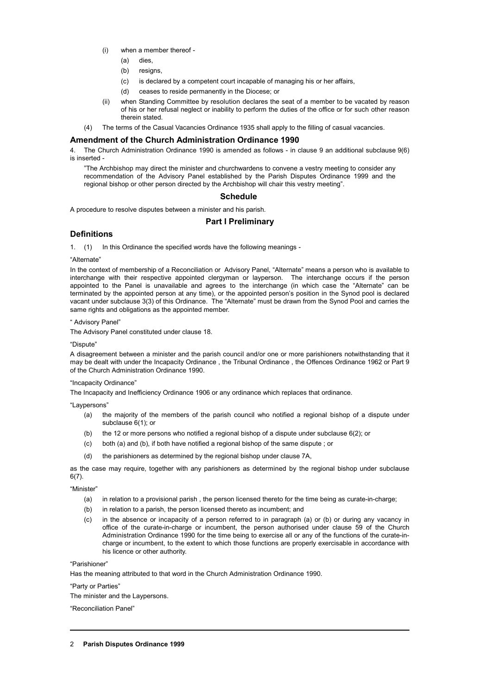- (i) when a member thereof
	- (a) dies,
	- (b) resigns,
	- (c) is declared by a competent court incapable of managing his or her affairs,
	- (d) ceases to reside permanently in the Diocese; or
- (ii) when Standing Committee by resolution declares the seat of a member to be vacated by reason of his or her refusal neglect or inability to perform the duties of the office or for such other reason therein stated.
- (4) The terms of the Casual Vacancies Ordinance 1935 shall apply to the filling of casual vacancies.

#### **Amendment of the Church Administration Ordinance 1990**

4. The Church Administration Ordinance 1990 is amended as follows - in clause 9 an additional subclause 9(6) is inserted -

"The Archbishop may direct the minister and churchwardens to convene a vestry meeting to consider any recommendation of the Advisory Panel established by the Parish Disputes Ordinance 1999 and the regional bishop or other person directed by the Archbishop will chair this vestry meeting".

#### **Schedule**

A procedure to resolve disputes between a minister and his parish.

## **Part I Preliminary**

## **Definitions**

1. (1) In this Ordinance the specified words have the following meanings -

"Alternate"

In the context of membership of a Reconciliation or Advisory Panel, "Alternate" means a person who is available to interchange with their respective appointed clergyman or layperson. The interchange occurs if the person appointed to the Panel is unavailable and agrees to the interchange (in which case the "Alternate" can be terminated by the appointed person at any time), or the appointed person's position in the Synod pool is declared vacant under subclause 3(3) of this Ordinance. The "Alternate" must be drawn from the Synod Pool and carries the same rights and obligations as the appointed member.

#### " Advisory Panel"

The Advisory Panel constituted under clause 18.

"Dispute"

A disagreement between a minister and the parish council and/or one or more parishioners notwithstanding that it may be dealt with under the Incapacity Ordinance , the Tribunal Ordinance , the Offences Ordinance 1962 or Part 9 of the Church Administration Ordinance 1990.

## "Incapacity Ordinance"

The Incapacity and Inefficiency Ordinance 1906 or any ordinance which replaces that ordinance.

"Laypersons"

- (a) the majority of the members of the parish council who notified a regional bishop of a dispute under subclause 6(1); or
- (b) the 12 or more persons who notified a regional bishop of a dispute under subclause  $6(2)$ ; or
- (c) both (a) and (b), if both have notified a regional bishop of the same dispute ; or
- (d) the parishioners as determined by the regional bishop under clause 7A,

as the case may require, together with any parishioners as determined by the regional bishop under subclause 6(7).

"Minister"

- (a) in relation to a provisional parish , the person licensed thereto for the time being as curate-in-charge;
- (b) in relation to a parish, the person licensed thereto as incumbent; and
- (c) in the absence or incapacity of a person referred to in paragraph (a) or (b) or during any vacancy in office of the curate-in-charge or incumbent, the person authorised under clause 59 of the Church Administration Ordinance 1990 for the time being to exercise all or any of the functions of the curate-incharge or incumbent, to the extent to which those functions are properly exercisable in accordance with his licence or other authority.

"Parishioner"

Has the meaning attributed to that word in the Church Administration Ordinance 1990.

"Party or Parties"

The minister and the Laypersons.

"Reconciliation Panel"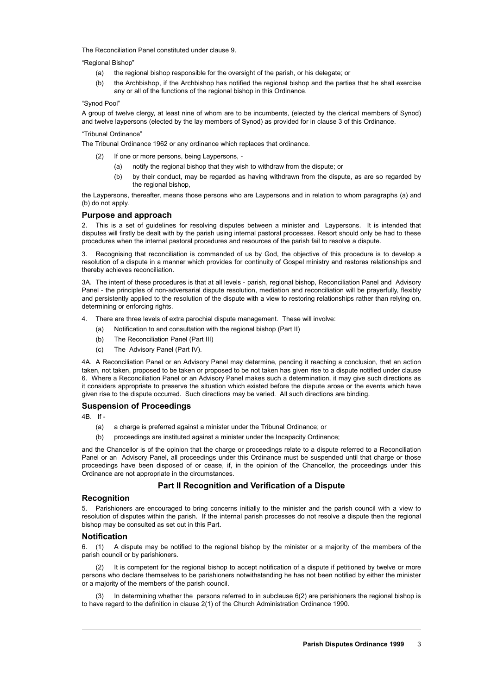The Reconciliation Panel constituted under clause 9.

"Regional Bishop"

- (a) the regional bishop responsible for the oversight of the parish, or his delegate; or
- (b) the Archbishop, if the Archbishop has notified the regional bishop and the parties that he shall exercise any or all of the functions of the regional bishop in this Ordinance.

#### "Synod Pool"

A group of twelve clergy, at least nine of whom are to be incumbents, (elected by the clerical members of Synod) and twelve laypersons (elected by the lay members of Synod) as provided for in clause 3 of this Ordinance.

"Tribunal Ordinance"

The Tribunal Ordinance 1962 or any ordinance which replaces that ordinance.

- If one or more persons, being Laypersons, -
	- (a) notify the regional bishop that they wish to withdraw from the dispute; or
	- (b) by their conduct, may be regarded as having withdrawn from the dispute, as are so regarded by the regional bishop,

the Laypersons, thereafter, means those persons who are Laypersons and in relation to whom paragraphs (a) and (b) do not apply.

#### **Purpose and approach**

2. This is a set of guidelines for resolving disputes between a minister and Laypersons. It is intended that disputes will firstly be dealt with by the parish using internal pastoral processes. Resort should only be had to these procedures when the internal pastoral procedures and resources of the parish fail to resolve a dispute.

Recognising that reconciliation is commanded of us by God, the objective of this procedure is to develop a resolution of a dispute in a manner which provides for continuity of Gospel ministry and restores relationships and thereby achieves reconciliation.

3A. The intent of these procedures is that at all levels - parish, regional bishop, Reconciliation Panel and Advisory Panel - the principles of non-adversarial dispute resolution, mediation and reconciliation will be prayerfully, flexibly and persistently applied to the resolution of the dispute with a view to restoring relationships rather than relying on, determining or enforcing rights.

- 4. There are three levels of extra parochial dispute management. These will involve:
	- (a) Notification to and consultation with the regional bishop (Part II)
	- (b) The Reconciliation Panel (Part III)
	- (c) The Advisory Panel (Part IV).

4A. A Reconciliation Panel or an Advisory Panel may determine, pending it reaching a conclusion, that an action taken, not taken, proposed to be taken or proposed to be not taken has given rise to a dispute notified under clause 6. Where a Reconciliation Panel or an Advisory Panel makes such a determination, it may give such directions as it considers appropriate to preserve the situation which existed before the dispute arose or the events which have given rise to the dispute occurred. Such directions may be varied. All such directions are binding.

## **Suspension of Proceedings**

4B. If -

- (a) a charge is preferred against a minister under the Tribunal Ordinance; or
- (b) proceedings are instituted against a minister under the Incapacity Ordinance;

and the Chancellor is of the opinion that the charge or proceedings relate to a dispute referred to a Reconciliation Panel or an Advisory Panel, all proceedings under this Ordinance must be suspended until that charge or those proceedings have been disposed of or cease, if, in the opinion of the Chancellor, the proceedings under this Ordinance are not appropriate in the circumstances.

## **Part II Recognition and Verification of a Dispute**

#### **Recognition**

5. Parishioners are encouraged to bring concerns initially to the minister and the parish council with a view to resolution of disputes within the parish. If the internal parish processes do not resolve a dispute then the regional bishop may be consulted as set out in this Part.

#### **Notification**

6. (1) A dispute may be notified to the regional bishop by the minister or a majority of the members of the parish council or by parishioners.

(2) It is competent for the regional bishop to accept notification of a dispute if petitioned by twelve or more persons who declare themselves to be parishioners notwithstanding he has not been notified by either the minister or a majority of the members of the parish council.

(3) In determining whether the persons referred to in subclause 6(2) are parishioners the regional bishop is to have regard to the definition in clause 2(1) of the Church Administration Ordinance 1990.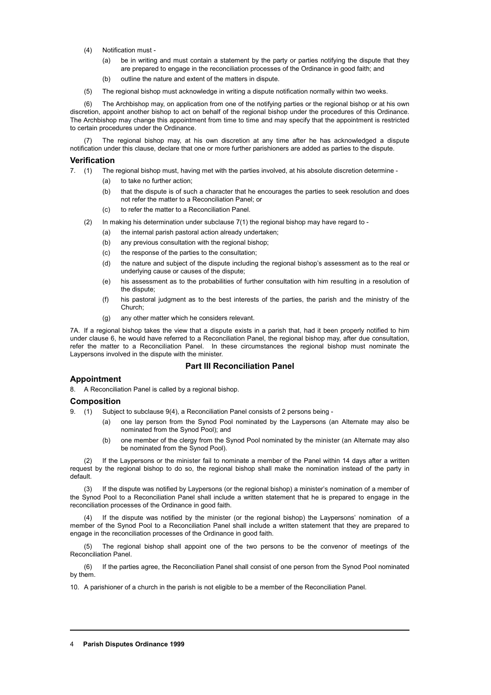- (4) Notification must
	- (a) be in writing and must contain a statement by the party or parties notifying the dispute that they are prepared to engage in the reconciliation processes of the Ordinance in good faith; and
	- (b) outline the nature and extent of the matters in dispute.
- (5) The regional bishop must acknowledge in writing a dispute notification normally within two weeks.

(6) The Archbishop may, on application from one of the notifying parties or the regional bishop or at his own discretion, appoint another bishop to act on behalf of the regional bishop under the procedures of this Ordinance. The Archbishop may change this appointment from time to time and may specify that the appointment is restricted to certain procedures under the Ordinance.

The regional bishop may, at his own discretion at any time after he has acknowledged a dispute notification under this clause, declare that one or more further parishioners are added as parties to the dispute.

#### **Verification**

7. (1) The regional bishop must, having met with the parties involved, at his absolute discretion determine -

- (a) to take no further action;
	- (b) that the dispute is of such a character that he encourages the parties to seek resolution and does not refer the matter to a Reconciliation Panel; or
	- (c) to refer the matter to a Reconciliation Panel.
- (2) In making his determination under subclause 7(1) the regional bishop may have regard to
	- (a) the internal parish pastoral action already undertaken;
	- (b) any previous consultation with the regional bishop;
	- (c) the response of the parties to the consultation;
	- (d) the nature and subject of the dispute including the regional bishop's assessment as to the real or underlying cause or causes of the dispute;
	- (e) his assessment as to the probabilities of further consultation with him resulting in a resolution of the dispute;
	- (f) his pastoral judgment as to the best interests of the parties, the parish and the ministry of the Church;
	- (g) any other matter which he considers relevant.

7A. If a regional bishop takes the view that a dispute exists in a parish that, had it been properly notified to him under clause 6, he would have referred to a Reconciliation Panel, the regional bishop may, after due consultation, refer the matter to a Reconciliation Panel. In these circumstances the regional bishop must nominate the Laypersons involved in the dispute with the minister.

## **Part III Reconciliation Panel**

## **Appointment**

8. A Reconciliation Panel is called by a regional bishop.

#### **Composition**

9. (1) Subject to subclause 9(4), a Reconciliation Panel consists of 2 persons being -

- (a) one lay person from the Synod Pool nominated by the Laypersons (an Alternate may also be nominated from the Synod Pool); and
- (b) one member of the clergy from the Synod Pool nominated by the minister (an Alternate may also be nominated from the Synod Pool).

(2) If the Laypersons or the minister fail to nominate a member of the Panel within 14 days after a written request by the regional bishop to do so, the regional bishop shall make the nomination instead of the party in default.

(3) If the dispute was notified by Laypersons (or the regional bishop) a minister's nomination of a member of the Synod Pool to a Reconciliation Panel shall include a written statement that he is prepared to engage in the reconciliation processes of the Ordinance in good faith.

If the dispute was notified by the minister (or the regional bishop) the Laypersons' nomination of a member of the Synod Pool to a Reconciliation Panel shall include a written statement that they are prepared to engage in the reconciliation processes of the Ordinance in good faith.

(5) The regional bishop shall appoint one of the two persons to be the convenor of meetings of the Reconciliation Panel.

(6) If the parties agree, the Reconciliation Panel shall consist of one person from the Synod Pool nominated by them.

10. A parishioner of a church in the parish is not eligible to be a member of the Reconciliation Panel.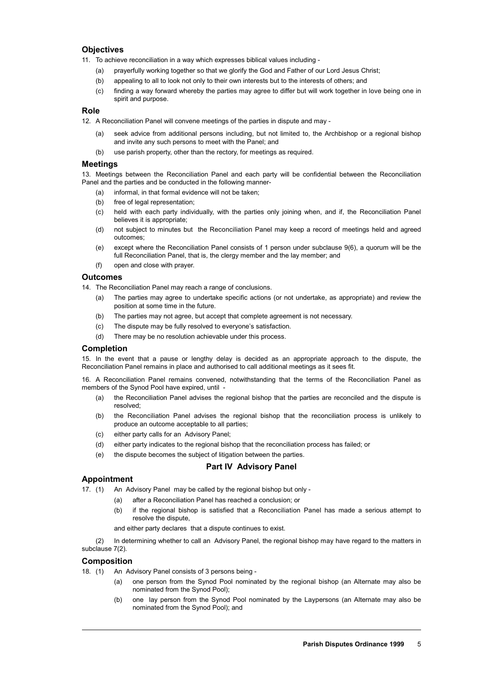# **Objectives**

- 11. To achieve reconciliation in a way which expresses biblical values including
	- (a) prayerfully working together so that we glorify the God and Father of our Lord Jesus Christ;
	- (b) appealing to all to look not only to their own interests but to the interests of others; and
	- (c) finding a way forward whereby the parties may agree to differ but will work together in love being one in spirit and purpose.

#### **Role**

12. A Reconciliation Panel will convene meetings of the parties in dispute and may -

- (a) seek advice from additional persons including, but not limited to, the Archbishop or a regional bishop and invite any such persons to meet with the Panel; and
- (b) use parish property, other than the rectory, for meetings as required.

### **Meetings**

13. Meetings between the Reconciliation Panel and each party will be confidential between the Reconciliation Panel and the parties and be conducted in the following manner-

- (a) informal, in that formal evidence will not be taken;
- (b) free of legal representation:
- (c) held with each party individually, with the parties only joining when, and if, the Reconciliation Panel believes it is appropriate;
- (d) not subject to minutes but the Reconciliation Panel may keep a record of meetings held and agreed outcomes;
- (e) except where the Reconciliation Panel consists of 1 person under subclause 9(6), a quorum will be the full Reconciliation Panel, that is, the clergy member and the lay member; and
- (f) open and close with prayer.

#### **Outcomes**

14. The Reconciliation Panel may reach a range of conclusions.

- (a) The parties may agree to undertake specific actions (or not undertake, as appropriate) and review the position at some time in the future.
- (b) The parties may not agree, but accept that complete agreement is not necessary.
- (c) The dispute may be fully resolved to everyone's satisfaction.
- (d) There may be no resolution achievable under this process.

#### **Completion**

15. In the event that a pause or lengthy delay is decided as an appropriate approach to the dispute, the Reconciliation Panel remains in place and authorised to call additional meetings as it sees fit.

16. A Reconciliation Panel remains convened, notwithstanding that the terms of the Reconciliation Panel as members of the Synod Pool have expired, until -

- (a) the Reconciliation Panel advises the regional bishop that the parties are reconciled and the dispute is resolved;
- (b) the Reconciliation Panel advises the regional bishop that the reconciliation process is unlikely to produce an outcome acceptable to all parties;
- (c) either party calls for an Advisory Panel;
- (d) either party indicates to the regional bishop that the reconciliation process has failed; or
- (e) the dispute becomes the subject of litigation between the parties.

# **Part IV Advisory Panel**

#### **Appointment**

- 17. (1) An Advisory Panel may be called by the regional bishop but only
	- (a) after a Reconciliation Panel has reached a conclusion; or
		- (b) if the regional bishop is satisfied that a Reconciliation Panel has made a serious attempt to resolve the dispute,

and either party declares that a dispute continues to exist.

(2) In determining whether to call an Advisory Panel, the regional bishop may have regard to the matters in subclause 7(2).

#### **Composition**

- 18. (1) An Advisory Panel consists of 3 persons being
	- (a) one person from the Synod Pool nominated by the regional bishop (an Alternate may also be nominated from the Synod Pool);
	- (b) one lay person from the Synod Pool nominated by the Laypersons (an Alternate may also be nominated from the Synod Pool); and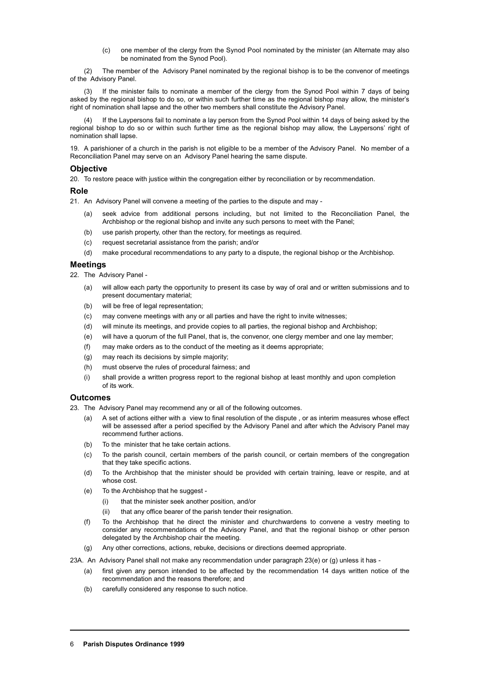(c) one member of the clergy from the Synod Pool nominated by the minister (an Alternate may also be nominated from the Synod Pool).

(2) The member of the Advisory Panel nominated by the regional bishop is to be the convenor of meetings of the Advisory Panel.

If the minister fails to nominate a member of the clergy from the Synod Pool within 7 days of being asked by the regional bishop to do so, or within such further time as the regional bishop may allow, the minister's right of nomination shall lapse and the other two members shall constitute the Advisory Panel.

If the Laypersons fail to nominate a lay person from the Synod Pool within 14 days of being asked by the regional bishop to do so or within such further time as the regional bishop may allow, the Laypersons' right of nomination shall lapse.

19. A parishioner of a church in the parish is not eligible to be a member of the Advisory Panel. No member of a Reconciliation Panel may serve on an Advisory Panel hearing the same dispute.

## **Objective**

20. To restore peace with justice within the congregation either by reconciliation or by recommendation.

## **Role**

21. An Advisory Panel will convene a meeting of the parties to the dispute and may -

- (a) seek advice from additional persons including, but not limited to the Reconciliation Panel, the Archbishop or the regional bishop and invite any such persons to meet with the Panel;
- (b) use parish property, other than the rectory, for meetings as required.
- (c) request secretarial assistance from the parish; and/or
- (d) make procedural recommendations to any party to a dispute, the regional bishop or the Archbishop.

## **Meetings**

22. The Advisory Panel -

- (a) will allow each party the opportunity to present its case by way of oral and or written submissions and to present documentary material;
- (b) will be free of legal representation;
- (c) may convene meetings with any or all parties and have the right to invite witnesses;
- (d) will minute its meetings, and provide copies to all parties, the regional bishop and Archbishop;
- (e) will have a quorum of the full Panel, that is, the convenor, one clergy member and one lay member;
- (f) may make orders as to the conduct of the meeting as it deems appropriate;
- (g) may reach its decisions by simple majority;
- (h) must observe the rules of procedural fairness; and
- (i) shall provide a written progress report to the regional bishop at least monthly and upon completion of its work.

## **Outcomes**

23. The Advisory Panel may recommend any or all of the following outcomes.

- (a) A set of actions either with a view to final resolution of the dispute , or as interim measures whose effect will be assessed after a period specified by the Advisory Panel and after which the Advisory Panel may recommend further actions.
- (b) To the minister that he take certain actions.
- (c) To the parish council, certain members of the parish council, or certain members of the congregation that they take specific actions.
- (d) To the Archbishop that the minister should be provided with certain training, leave or respite, and at whose cost.
- (e) To the Archbishop that he suggest
	- (i) that the minister seek another position, and/or
	- (ii) that any office bearer of the parish tender their resignation.
- (f) To the Archbishop that he direct the minister and churchwardens to convene a vestry meeting to consider any recommendations of the Advisory Panel, and that the regional bishop or other person delegated by the Archbishop chair the meeting*.*
- (g) Any other corrections, actions, rebuke, decisions or directions deemed appropriate.

23A. An Advisory Panel shall not make any recommendation under paragraph 23(e) or (g) unless it has -

- (a) first given any person intended to be affected by the recommendation 14 days written notice of the recommendation and the reasons therefore; and
- (b) carefully considered any response to such notice.